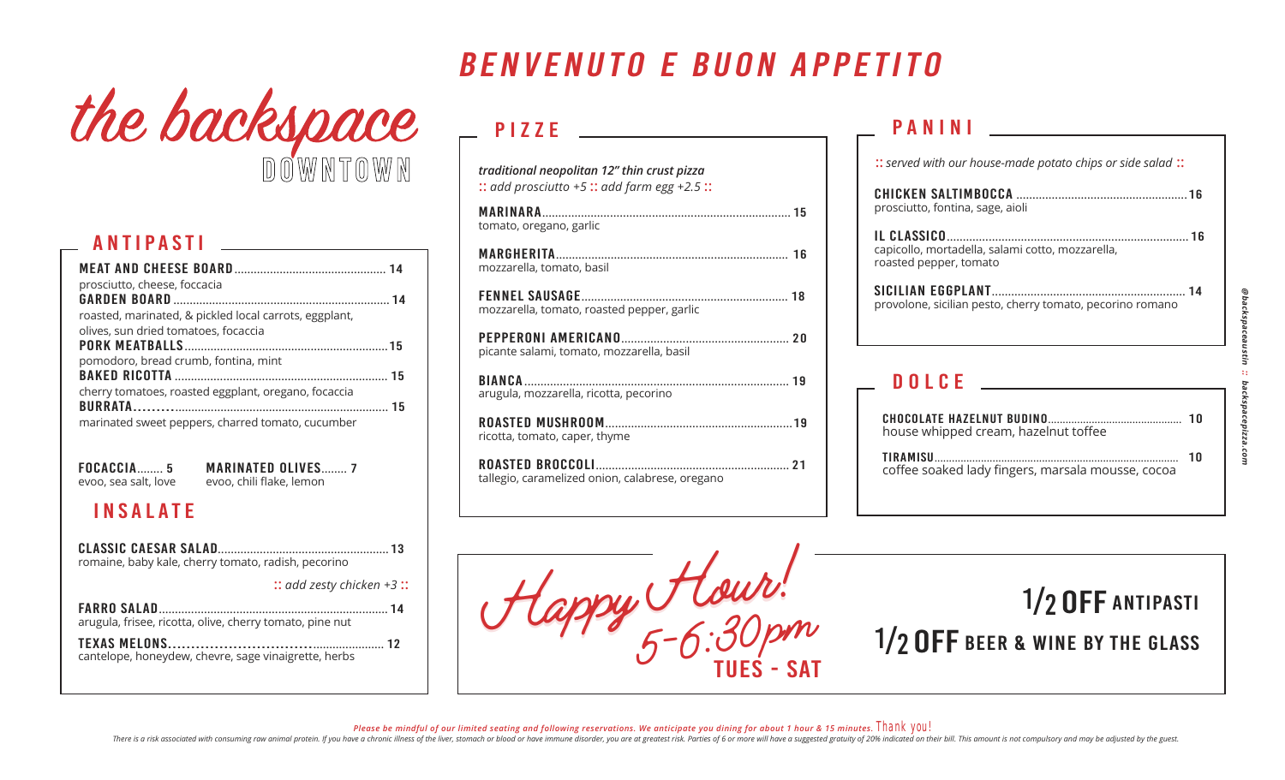# the backspace

#### antipasti

| prosciutto, cheese, foccacia                           |  |
|--------------------------------------------------------|--|
|                                                        |  |
| roasted, marinated, & pickled local carrots, eggplant, |  |
| olives, sun dried tomatoes, focaccia                   |  |
|                                                        |  |
| pomodoro, bread crumb, fontina, mint                   |  |
|                                                        |  |
| cherry tomatoes, roasted eggplant, oregano, focaccia   |  |
|                                                        |  |
| marinated sweet peppers, charred tomato, cucumber      |  |

focaccia........ 5 evoo, sea salt, love marinated olives........ 7 evoo, chili flake, lemon

#### insalate

| romaine, baby kale, cherry tomato, radish, pecorino      |
|----------------------------------------------------------|
| $::$ add zesty chicken +3:                               |
| arugula, frisee, ricotta, olive, cherry tomato, pine nut |
| cantelope, honeydew, chevre, sage vinaigrette, herbs     |

## benvenuto e buon appetito

## $\overline{P122E}$

| traditional neopolitan 12" thin crust pizza<br>$::$ add prosciutto +5: $:$ add farm egg +2.5: |
|-----------------------------------------------------------------------------------------------|
| tomato, oregano, garlic                                                                       |
| mozzarella, tomato, basil                                                                     |
| mozzarella, tomato, roasted pepper, garlic                                                    |
| picante salami, tomato, mozzarella, basil                                                     |
| arugula, mozzarella, ricotta, pecorino                                                        |
| ricotta, tomato, caper, thyme                                                                 |
| tallegio, caramelized onion, calabrese, oregano                                               |
|                                                                                               |

### panini

| prosciutto, fontina, sage, aioli                                           |  |
|----------------------------------------------------------------------------|--|
| capicollo, mortadella, salami cotto, mozzarella,<br>roasted pepper, tomato |  |
| provolone, sicilian pesto, cherry tomato, pecorino romano                  |  |
| <b>DOLCE</b>                                                               |  |

:: *served with our house-made potato chips or side salad* ::

| house whipped cream, hazelnut toffee              |     |
|---------------------------------------------------|-----|
| coffee soaked lady fingers, marsala mousse, cocoa | า ก |



Please be mindful of our limited seating and following reservations. We anticipate you dining for about 1 hour & 15 minutes. Thank YOU!

There is a risk associated with consuming raw animal protein. If you have a chronic illness of the liver, stomach or blood or have immune disorder, you are at greatest risk. Parties of 6 or more will have a suggested gratu